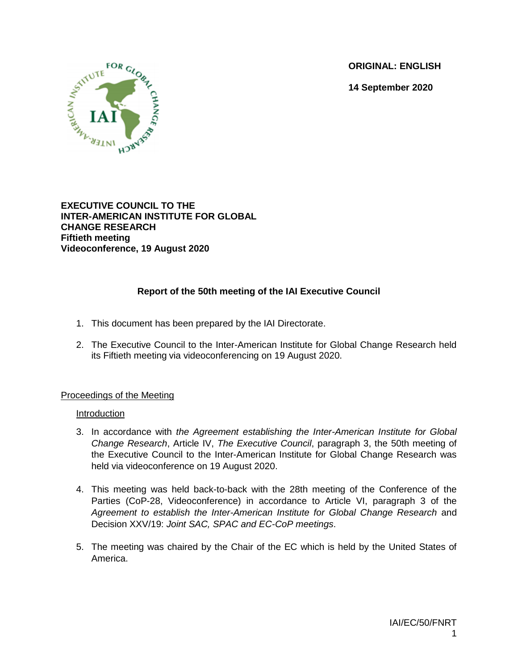**ORIGINAL: ENGLISH**

**14 September 2020**



**EXECUTIVE COUNCIL TO THE INTER-AMERICAN INSTITUTE FOR GLOBAL CHANGE RESEARCH Fiftieth meeting Videoconference, 19 August 2020**

# **Report of the 50th meeting of the IAI Executive Council**

- 1. This document has been prepared by the IAI Directorate.
- 2. The Executive Council to the Inter-American Institute for Global Change Research held its Fiftieth meeting via videoconferencing on 19 August 2020.

#### Proceedings of the Meeting

#### Introduction

- 3. In accordance with *the Agreement establishing the Inter-American Institute for Global Change Research*, Article IV, *The Executive Council*, paragraph 3, the 50th meeting of the Executive Council to the Inter-American Institute for Global Change Research was held via videoconference on 19 August 2020.
- 4. This meeting was held back-to-back with the 28th meeting of the Conference of the Parties (CoP-28, Videoconference) in accordance to Article VI, paragraph 3 of the *Agreement to establish the Inter-American Institute for Global Change Research* and Decision XXV/19: *Joint SAC, SPAC and EC-CoP meetings*.
- 5. The meeting was chaired by the Chair of the EC which is held by the United States of America.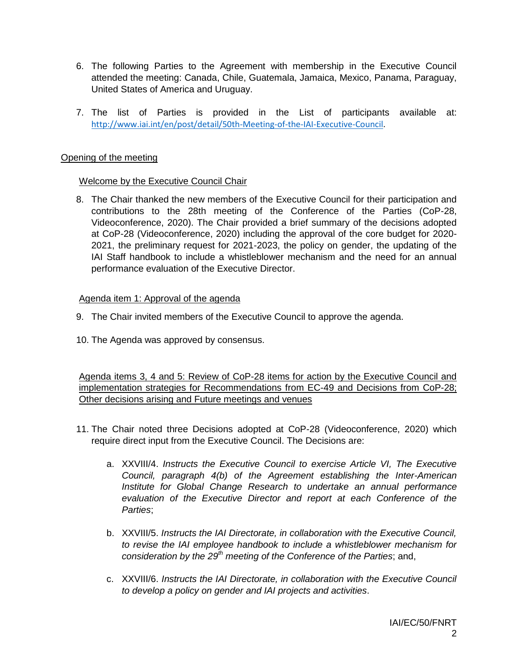- 6. The following Parties to the Agreement with membership in the Executive Council attended the meeting: Canada, Chile, Guatemala, Jamaica, Mexico, Panama, Paraguay, United States of America and Uruguay.
- 7. The list of Parties is provided in the List of participants available at: [http://www.iai.int/en/post/detail/50th-Meeting-of-the-IAI-Executive-Council.](http://www.iai.int/en/post/detail/50th-Meeting-of-the-IAI-Executive-Council)

#### Opening of the meeting

## Welcome by the Executive Council Chair

8. The Chair thanked the new members of the Executive Council for their participation and contributions to the 28th meeting of the Conference of the Parties (CoP-28, Videoconference, 2020). The Chair provided a brief summary of the decisions adopted at CoP-28 (Videoconference, 2020) including the approval of the core budget for 2020- 2021, the preliminary request for 2021-2023, the policy on gender, the updating of the IAI Staff handbook to include a whistleblower mechanism and the need for an annual performance evaluation of the Executive Director.

## Agenda item 1: Approval of the agenda

- 9. The Chair invited members of the Executive Council to approve the agenda.
- 10. The Agenda was approved by consensus.

Agenda items 3, 4 and 5: Review of CoP-28 items for action by the Executive Council and implementation strategies for Recommendations from EC-49 and Decisions from CoP-28; Other decisions arising and Future meetings and venues

- 11. The Chair noted three Decisions adopted at CoP-28 (Videoconference, 2020) which require direct input from the Executive Council. The Decisions are:
	- a. XXVIII/4. *Instructs the Executive Council to exercise Article VI, The Executive Council, paragraph 4(b) of the Agreement establishing the Inter-American Institute for Global Change Research to undertake an annual performance evaluation of the Executive Director and report at each Conference of the Parties*;
	- b. XXVIII/5. *Instructs the IAI Directorate, in collaboration with the Executive Council, to revise the IAI employee handbook to include a whistleblower mechanism for consideration by the 29th meeting of the Conference of the Parties*; and,
	- c. XXVIII/6. *Instructs the IAI Directorate, in collaboration with the Executive Council to develop a policy on gender and IAI projects and activities*.